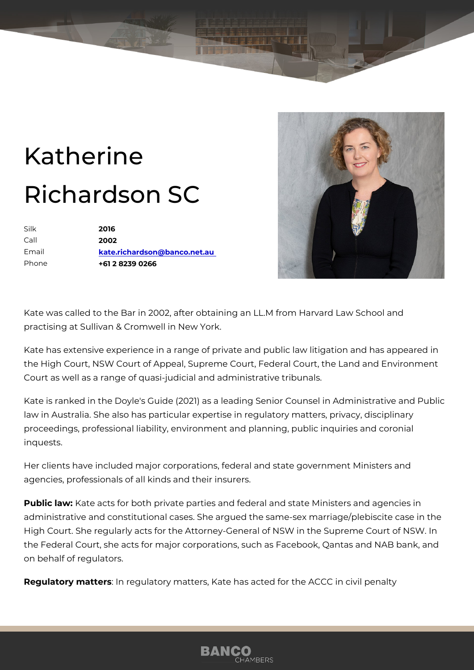## Katherine Richardson SC

| Silk    | 2016                         |
|---------|------------------------------|
| $C$ all | 2002                         |
| Email   | kate.richardson@banco.net.au |
| Phone   | +61 2 8239 0266              |

Kate was called to the Bar in 2002, after obtaining an LL.M from Harvard practising at Sullivan & Cromwell in New York.

Kate has extensive experience in a range of private and public law litiga the High Court, NSW Court of Appeal, Supreme Court, Federal Court, the Court as well as a range of quasi-judicial and administrative tribunals.

Kate is ranked in the Doyle's Guide (2021) as a leading Senior Counsel i law in Australia. She also has particular expertise in regulatory matters, proceedings, professional liability, environment and planning, public inqu inquests.

Her clients have included major corporations, federal and state governme agencies, professionals of all kinds and their insurers.

Publitaw Kate acts for both private parties and federal and state Ministers administrative and constitutional cases. She argued the same-sex marria High Court. She regularly acts for the Attorney-General of NSW in the Su the Federal Court, she acts for major corporations, such as Facebook, Qantas and N on behalf of regulators.

Regulatory mattemsregulatory matters, Kate has acted for the ACCC in civ